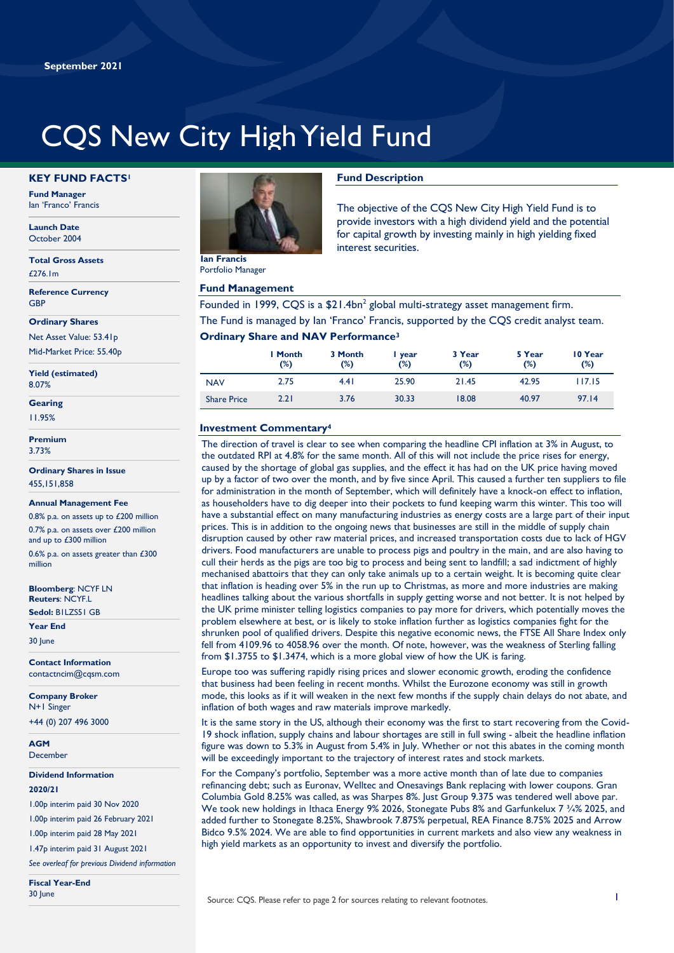# CQS New City High Yield Fund

#### **KEY FUND FACTS<sup>1</sup>**

**Fund Manager** Ian 'Franco' Francis

**Launch Date** October 2004

**Total Gross Assets** £276.1m

**Reference Currency GRP** 

**Ordinary Shares**

Net Asset Value: 53.41p Mid-Market Price: 55.40p

**Yield (estimated)** 8.07%

**Gearing**

11.95%

**Premium** 3.73%

**Ordinary Shares in Issue** 455,151,858

#### **Annual Management Fee**

0.8% p.a. on assets up to £200 million 0.7% p.a. on assets over £200 million and up to £300 million

0.6% p.a. on assets greater than £300 million

**Bloomberg**: NCYF LN **Reuters**: NCYF.L **Sedol:** B1LZS51 GB

**Year End**

30 June

**Contact Information** contactncim@cqsm.com

**Company Broker** N+1 Singer +44 (0) 207 496 3000

**AGM** December

**Dividend Information 2020/21** 

1.00p interim paid 30 Nov 2020

1.00p interim paid 26 February 2021

1.00p interim paid 28 May 2021

1.47p interim paid 31 August 2021

*See overleaf for previous Dividend information*

**Fiscal Year-End** 30 June



Portfolio Manager

#### **Fund Management**

## **Fund Description**

The objective of the CQS New City High Yield Fund is to provide investors with a high dividend yield and the potential for capital growth by investing mainly in high yielding fixed interest securities.

Founded in 1999, CQS is a  $$21.4$ bn<sup>2</sup> global multi-strategy asset management firm. The Fund is managed by Ian 'Franco' Francis, supported by the CQS credit analyst team.

#### **Ordinary Share and NAV Performance<sup>3</sup>**

|                    | I Month<br>(%) | 3 Month<br>(%) | i year<br>(%) | 3 Year<br>(%) | 5 Year<br>(%) | 10 Year<br>(%) |
|--------------------|----------------|----------------|---------------|---------------|---------------|----------------|
| <b>NAV</b>         | 2.75           | 4.41           | 25.90         | 21.45         | 42.95         | 117.15         |
| <b>Share Price</b> | 2.21           | 3.76           | 30.33         | 18.08         | 40.97         | 97.14          |

#### **Investment Commentary<sup>4</sup>**

The direction of travel is clear to see when comparing the headline CPI inflation at 3% in August, to the outdated RPI at 4.8% for the same month. All of this will not include the price rises for energy, caused by the shortage of global gas supplies, and the effect it has had on the UK price having moved up by a factor of two over the month, and by five since April. This caused a further ten suppliers to file for administration in the month of September, which will definitely have a knock-on effect to inflation, as householders have to dig deeper into their pockets to fund keeping warm this winter. This too will have a substantial effect on many manufacturing industries as energy costs are a large part of their input prices. This is in addition to the ongoing news that businesses are still in the middle of supply chain disruption caused by other raw material prices, and increased transportation costs due to lack of HGV drivers. Food manufacturers are unable to process pigs and poultry in the main, and are also having to cull their herds as the pigs are too big to process and being sent to landfill; a sad indictment of highly mechanised abattoirs that they can only take animals up to a certain weight. It is becoming quite clear that inflation is heading over 5% in the run up to Christmas, as more and more industries are making headlines talking about the various shortfalls in supply getting worse and not better. It is not helped by the UK prime minister telling logistics companies to pay more for drivers, which potentially moves the problem elsewhere at best, or is likely to stoke inflation further as logistics companies fight for the shrunken pool of qualified drivers. Despite this negative economic news, the FTSE All Share Index only fell from 4109.96 to 4058.96 over the month. Of note, however, was the weakness of Sterling falling from \$1.3755 to \$1.3474, which is a more global view of how the UK is faring.

Europe too was suffering rapidly rising prices and slower economic growth, eroding the confidence that business had been feeling in recent months. Whilst the Eurozone economy was still in growth mode, this looks as if it will weaken in the next few months if the supply chain delays do not abate, and inflation of both wages and raw materials improve markedly.

It is the same story in the US, although their economy was the first to start recovering from the Covid-19 shock inflation, supply chains and labour shortages are still in full swing - albeit the headline inflation figure was down to 5.3% in August from 5.4% in July. Whether or not this abates in the coming month will be exceedingly important to the trajectory of interest rates and stock markets.

For the Company's portfolio, September was a more active month than of late due to companies refinancing debt; such as Euronav, Welltec and Onesavings Bank replacing with lower coupons. Gran Columbia Gold 8.25% was called, as was Sharpes 8%. Just Group 9.375 was tendered well above par. We took new holdings in Ithaca Energy 9% 2026, Stonegate Pubs 8% and Garfunkelux 7 3/4% 2025, and added further to Stonegate 8.25%, Shawbrook 7.875% perpetual, REA Finance 8.75% 2025 and Arrow Bidco 9.5% 2024. We are able to find opportunities in current markets and also view any weakness in high yield markets as an opportunity to invest and diversify the portfolio.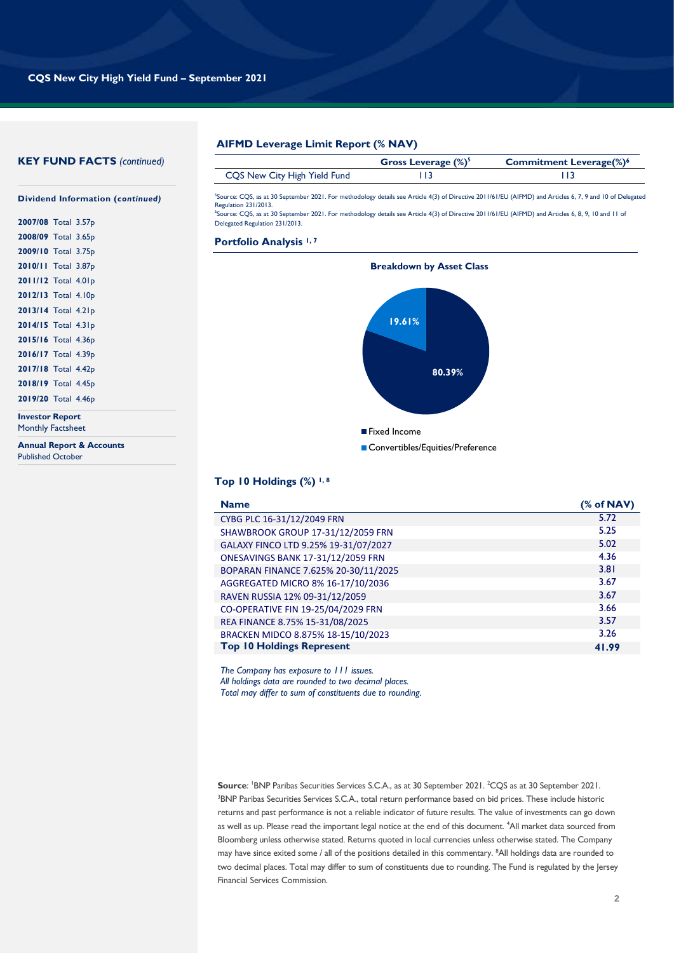#### **KEY FUND FACTS** *(continued)*

### **Dividend Information (***continued)*

| 2007/08 Total 3.57p |  |
|---------------------|--|
| 2008/09 Total 3.65p |  |
| 2009/10 Total 3.75p |  |
| 2010/11 Total 3.87p |  |
| 2011/12 Total 4.01p |  |
| 2012/13 Total 4.10p |  |
| 2013/14 Total 4.21p |  |
| 2014/15 Total 4.31p |  |
| 2015/16 Total 4.36p |  |
| 2016/17 Total 4.39p |  |
| 2017/18 Total 4.42p |  |
| 2018/19 Total 4.45p |  |
| 2019/20 Total 4.46p |  |
|                     |  |

**Investor Report** Monthly Factsheet

**Annual Report & Accounts** Published October

#### **AIFMD Leverage Limit Report (% NAV)**

|                              | Gross Leverage $(\%)^5$ | <b>Commitment Leverage(%)<sup>6</sup></b> |
|------------------------------|-------------------------|-------------------------------------------|
| CQS New City High Yield Fund |                         |                                           |
|                              |                         |                                           |

5 Source: CQS, as at 30 September 2021. For methodology details see Article 4(3) of Directive 2011/61/EU (AIFMD) and Articles 6, 7, 9 and 10 of Delegated Regulation 231/2013. 6 Source: CQS, as at 30 September 2021. For methodology details see Article 4(3) of Directive 2011/61/EU (AIFMD) and Articles 6, 8, 9, 10 and 11 of Delegated Regulation 231/2013.

#### **Portfolio Analysis 1, 7**



#### **Top 10 Holdings (%) 1, 8**

| <b>Name</b>                              | % of NAV |
|------------------------------------------|----------|
| CYBG PLC 16-31/12/2049 FRN               | 5.72     |
| SHAWBROOK GROUP 17-31/12/2059 FRN        | 5.25     |
| GALAXY FINCO LTD 9.25% 19-31/07/2027     | 5.02     |
| <b>ONESAVINGS BANK 17-31/12/2059 FRN</b> | 4.36     |
| BOPARAN FINANCE 7.625% 20-30/11/2025     | 3.81     |
| AGGREGATED MICRO 8% 16-17/10/2036        | 3.67     |
| RAVEN RUSSIA 12% 09-31/12/2059           | 3.67     |
| CO-OPERATIVE FIN 19-25/04/2029 FRN       | 3.66     |
| REA FINANCE 8.75% 15-31/08/2025          | 3.57     |
| BRACKEN MIDCO 8.875% 18-15/10/2023       | 3.26     |
| <b>Top 10 Holdings Represent</b>         | 41.99    |

*The Company has exposure to 111 issues. All holdings data are rounded to two decimal places. Total may differ to sum of constituents due to rounding.*

**Source**: <sup>1</sup>BNP Paribas Securities Services S.C.A., as at 30 September 2021. <sup>2</sup>CQS as at 30 September 2021. <sup>3</sup>BNP Paribas Securities Services S.C.A., total return performance based on bid prices. These include historic returns and past performance is not a reliable indicator of future results. The value of investments can go down as well as up. Please read the important legal notice at the end of this document. <sup>4</sup>All market data sourced from Bloomberg unless otherwise stated. Returns quoted in local currencies unless otherwise stated. The Company may have since exited some / all of the positions detailed in this commentary. <sup>8</sup>All holdings data are rounded to two decimal places. Total may differ to sum of constituents due to rounding. The Fund is regulated by the Jersey Financial Services Commission.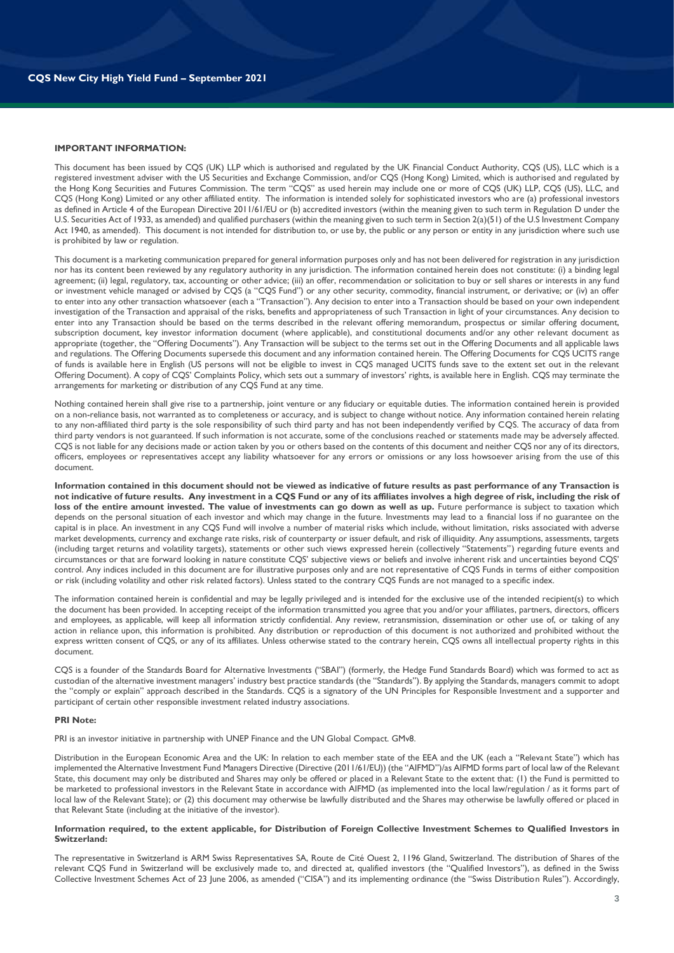#### **IMPORTANT INFORMATION:**

This document has been issued by CQS (UK) LLP which is authorised and regulated by the UK Financial Conduct Authority, CQS (US), LLC which is a registered investment adviser with the US Securities and Exchange Commission, and/or CQS (Hong Kong) Limited, which is authorised and regulated by the Hong Kong Securities and Futures Commission. The term "CQS" as used herein may include one or more of CQS (UK) LLP, CQS (US), LLC, and CQS (Hong Kong) Limited or any other affiliated entity. The information is intended solely for sophisticated investors who are (a) professional investors as defined in Article 4 of the European Directive 2011/61/EU or (b) accredited investors (within the meaning given to such term in Regulation D under the U.S. Securities Act of 1933, as amended) and qualified purchasers (within the meaning given to such term in Section 2(a)(51) of the U.S Investment Company Act 1940, as amended). This document is not intended for distribution to, or use by, the public or any person or entity in any jurisdiction where such use is prohibited by law or regulation.

This document is a marketing communication prepared for general information purposes only and has not been delivered for registration in any jurisdiction nor has its content been reviewed by any regulatory authority in any jurisdiction. The information contained herein does not constitute: (i) a binding legal agreement; (ii) legal, regulatory, tax, accounting or other advice; (iii) an offer, recommendation or solicitation to buy or sell shares or interests in any fund or investment vehicle managed or advised by CQS (a "CQS Fund") or any other security, commodity, financial instrument, or derivative; or (iv) an offer to enter into any other transaction whatsoever (each a "Transaction"). Any decision to enter into a Transaction should be based on your own independent investigation of the Transaction and appraisal of the risks, benefits and appropriateness of such Transaction in light of your circumstances. Any decision to enter into any Transaction should be based on the terms described in the relevant offering memorandum, prospectus or similar offering document, subscription document, key investor information document (where applicable), and constitutional documents and/or any other relevant document as appropriate (together, the "Offering Documents"). Any Transaction will be subject to the terms set out in the Offering Documents and all applicable laws and regulations. The Offering Documents supersede this document and any information contained herein. The Offering Documents for CQS UCITS range of funds is available here in English (US persons will not be eligible to invest in CQS managed UCITS funds save to the extent set out in the relevant Offering Document). A copy of CQS' Complaints Policy, which sets out a summary of investors' rights, is available here in English. CQS may terminate the arrangements for marketing or distribution of any CQS Fund at any time.

Nothing contained herein shall give rise to a partnership, joint venture or any fiduciary or equitable duties. The information contained herein is provided on a non-reliance basis, not warranted as to completeness or accuracy, and is subject to change without notice. Any information contained herein relating to any non-affiliated third party is the sole responsibility of such third party and has not been independently verified by CQS. The accuracy of data from third party vendors is not guaranteed. If such information is not accurate, some of the conclusions reached or statements made may be adversely affected. CQS is not liable for any decisions made or action taken by you or others based on the contents of this document and neither CQS nor any of its directors, officers, employees or representatives accept any liability whatsoever for any errors or omissions or any loss howsoever arising from the use of this document.

**Information contained in this document should not be viewed as indicative of future results as past performance of any Transaction is not indicative of future results. Any investment in a CQS Fund or any of its affiliates involves a high degree of risk, including the risk of**  loss of the entire amount invested. The value of investments can go down as well as up. Future performance is subject to taxation which depends on the personal situation of each investor and which may change in the future. Investments may lead to a financial loss if no guarantee on the capital is in place. An investment in any CQS Fund will involve a number of material risks which include, without limitation, risks associated with adverse market developments, currency and exchange rate risks, risk of counterparty or issuer default, and risk of illiquidity. Any assumptions, assessments, targets (including target returns and volatility targets), statements or other such views expressed herein (collectively "Statements") regarding future events and circumstances or that are forward looking in nature constitute CQS' subjective views or beliefs and involve inherent risk and uncertainties beyond CQS' control. Any indices included in this document are for illustrative purposes only and are not representative of CQS Funds in terms of either composition or risk (including volatility and other risk related factors). Unless stated to the contrary CQS Funds are not managed to a specific index.

The information contained herein is confidential and may be legally privileged and is intended for the exclusive use of the intended recipient(s) to which the document has been provided. In accepting receipt of the information transmitted you agree that you and/or your affiliates, partners, directors, officers and employees, as applicable, will keep all information strictly confidential. Any review, retransmission, dissemination or other use of, or taking of any action in reliance upon, this information is prohibited. Any distribution or reproduction of this document is not authorized and prohibited without the express written consent of CQS, or any of its affiliates. Unless otherwise stated to the contrary herein, CQS owns all intellectual property rights in this document.

CQS is a founder of the Standards Board for Alternative Investments ("SBAI") (formerly, the Hedge Fund Standards Board) which was formed to act as custodian of the alternative investment managers' industry best practice standards (the "Standards"). By applying the Standards, managers commit to adopt the "comply or explain" approach described in the Standards. CQS is a signatory of the UN Principles for Responsible Investment and a supporter and participant of certain other responsible investment related industry associations.

#### **PRI Note:**

PRI is an investor initiative in partnership with UNEP Finance and the UN Global Compact. GMv8.

Distribution in the European Economic Area and the UK: In relation to each member state of the EEA and the UK (each a "Relevant State") which has implemented the Alternative Investment Fund Managers Directive (Directive (2011/61/EU)) (the "AIFMD")/as AIFMD forms part of local law of the Relevant State, this document may only be distributed and Shares may only be offered or placed in a Relevant State to the extent that: (1) the Fund is permitted to be marketed to professional investors in the Relevant State in accordance with AIFMD (as implemented into the local law/regulation / as it forms part of local law of the Relevant State); or (2) this document may otherwise be lawfully distributed and the Shares may otherwise be lawfully offered or placed in that Relevant State (including at the initiative of the investor).

#### **Information required, to the extent applicable, for Distribution of Foreign Collective Investment Schemes to Qualified Investors in Switzerland:**

The representative in Switzerland is ARM Swiss Representatives SA, Route de Cité Ouest 2, 1196 Gland, Switzerland. The distribution of Shares of the relevant CQS Fund in Switzerland will be exclusively made to, and directed at, qualified investors (the "Qualified Investors"), as defined in the Swiss Collective Investment Schemes Act of 23 June 2006, as amended ("CISA") and its implementing ordinance (the "Swiss Distribution Rules"). Accordingly,